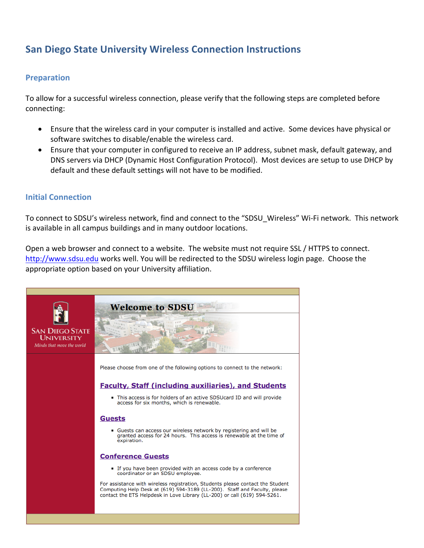# **San Diego State University Wireless Connection Instructions**

## **Preparation**

To allow for a successful wireless connection, please verify that the following steps are completed before connecting:

- Ensure that the wireless card in your computer is installed and active. Some devices have physical or software switches to disable/enable the wireless card.
- Ensure that your computer in configured to receive an IP address, subnet mask, default gateway, and DNS servers via DHCP (Dynamic Host Configuration Protocol). Most devices are setup to use DHCP by default and these default settings will not have to be modified.

#### **Initial Connection**

To connect to SDSU's wireless network, find and connect to the "SDSU Wireless" Wi-Fi network. This network is available in all campus buildings and in many outdoor locations.

Open a web browser and connect to a website. The website must not require SSL / HTTPS to connect. http://www.sdsu.edu works well. You will be redirected to the SDSU wireless login page. Choose the appropriate option based on your University affiliation.

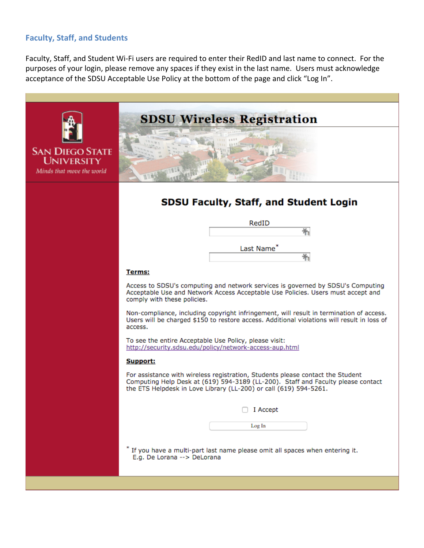### **Faculty, Staff, and Students**

Faculty, Staff, and Student Wi-Fi users are required to enter their RedID and last name to connect. For the purposes of your login, please remove any spaces if they exist in the last name. Users must acknowledge acceptance of the SDSU Acceptable Use Policy at the bottom of the page and click "Log In".

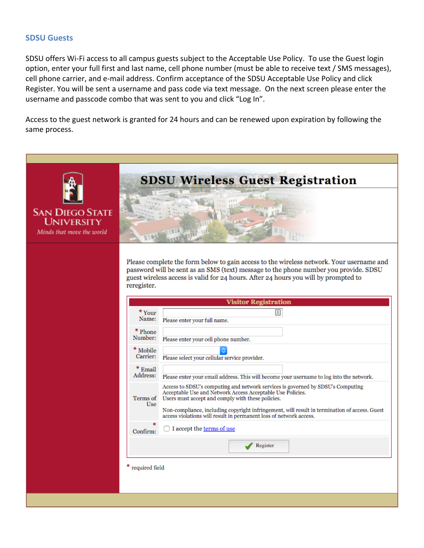#### **SDSU Guests**

SDSU offers Wi-Fi access to all campus guests subject to the Acceptable Use Policy. To use the Guest login option, enter your full first and last name, cell phone number (must be able to receive text / SMS messages), cell phone carrier, and e-mail address. Confirm acceptance of the SDSU Acceptable Use Policy and click Register. You will be sent a username and pass code via text message. On the next screen please enter the username and passcode combo that was sent to you and click "Log In".

Access to the guest network is granted for 24 hours and can be renewed upon expiration by following the same process.

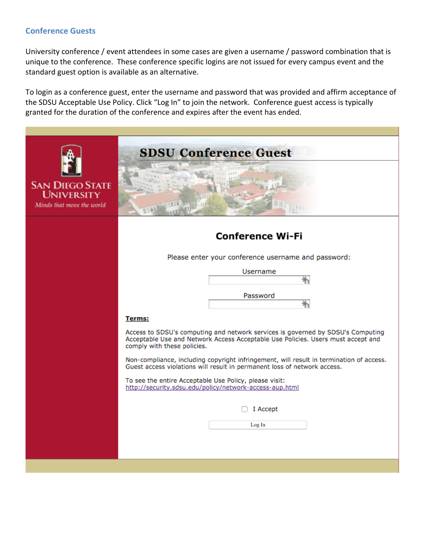### **Conference Guests**

University conference / event attendees in some cases are given a username / password combination that is unique to the conference. These conference specific logins are not issued for every campus event and the standard guest option is available as an alternative.

To login as a conference guest, enter the username and password that was provided and affirm acceptance of the SDSU Acceptable Use Policy. Click "Log In" to join the network. Conference guest access is typically granted for the duration of the conference and expires after the event has ended.

|                                                                          | <b>SDSU Conference Guest</b>                                                                                                                                                                       |
|--------------------------------------------------------------------------|----------------------------------------------------------------------------------------------------------------------------------------------------------------------------------------------------|
| <b>SAN DIEGO STATE</b><br><b>UNIVERSITY</b><br>Minds that move the world |                                                                                                                                                                                                    |
|                                                                          | <b>Conference Wi-Fi</b>                                                                                                                                                                            |
|                                                                          | Please enter your conference username and password:                                                                                                                                                |
|                                                                          | Username                                                                                                                                                                                           |
|                                                                          |                                                                                                                                                                                                    |
|                                                                          | Password<br>嵛                                                                                                                                                                                      |
|                                                                          | <b>Terms:</b>                                                                                                                                                                                      |
|                                                                          | Access to SDSU's computing and network services is governed by SDSU's Computing<br>Acceptable Use and Network Access Acceptable Use Policies. Users must accept and<br>comply with these policies. |
|                                                                          | Non-compliance, including copyright infringement, will result in termination of access.<br>Guest access violations will result in permanent loss of network access.                                |
|                                                                          | To see the entire Acceptable Use Policy, please visit:<br>http://security.sdsu.edu/policy/network-access-aup.html                                                                                  |
|                                                                          | I Accept                                                                                                                                                                                           |
|                                                                          | Log In                                                                                                                                                                                             |
|                                                                          |                                                                                                                                                                                                    |
|                                                                          |                                                                                                                                                                                                    |
|                                                                          |                                                                                                                                                                                                    |